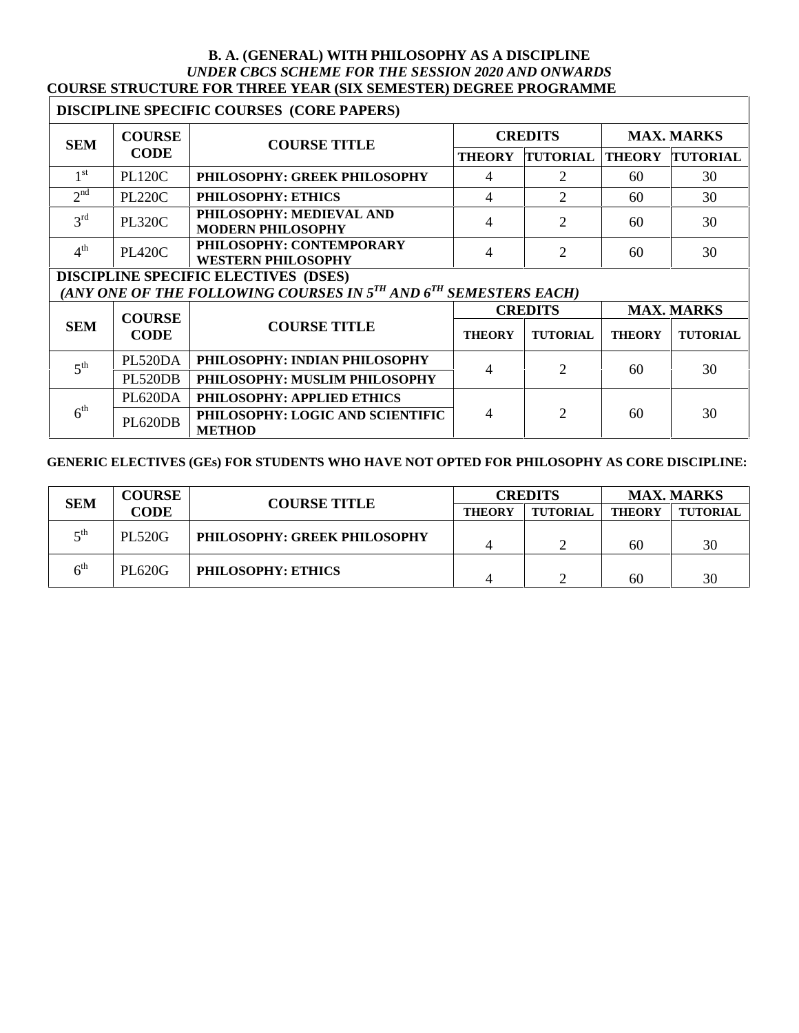#### **B. A. (GENERAL) WITH PHILOSOPHY AS A DISCIPLINE** *UNDER CBCS SCHEME FOR THE SESSION 2020 AND ONWARDS* **COURSE STRUCTURE FOR THREE YEAR (SIX SEMESTER) DEGREE PROGRAMME**

# **DISCIPLINE SPECIFIC COURSES (CORE PAPERS)**

| <b>SEM</b>      | <b>COURSE</b> | <b>COURSE TITLE</b>                                   | <b>CREDITS</b> |                 | <b>MAX. MARKS</b> |                 |
|-----------------|---------------|-------------------------------------------------------|----------------|-----------------|-------------------|-----------------|
|                 | <b>CODE</b>   |                                                       | <b>THEORY</b>  | <b>TUTORIAL</b> | <b>THEORY</b>     | <b>TUTORIAL</b> |
| 1 <sup>st</sup> | <b>PL120C</b> | PHILOSOPHY: GREEK PHILOSOPHY                          | 4              |                 | 60                | 30              |
| $\gamma$ nd     | <b>PL220C</b> | PHILOSOPHY: ETHICS                                    | 4              |                 | 60                | 30              |
| $2^{\text{rd}}$ | <b>PL320C</b> | PHILOSOPHY: MEDIEVAL AND<br><b>MODERN PHILOSOPHY</b>  | 4              |                 | 60                | 30              |
| 4 <sup>th</sup> | <b>PL420C</b> | PHILOSOPHY: CONTEMPORARY<br><b>WESTERN PHILOSOPHY</b> | 4              |                 | 60                | 30              |

# **DISCIPLINE SPECIFIC ELECTIVES (DSES)**

# $(ANY \t{ONE} \t{OF} \t{THE} \t{FOLLOWING} \t{COLRSES} \t{IN} \t{S}^{TH} \t{AND} \t{6}^{TH} \t{SEMESTERS} \t{EACH})$

|                          | <b>COURSE</b>  |                                                   | <b>CREDITS</b> |                 | <b>MAX. MARKS</b> |                 |
|--------------------------|----------------|---------------------------------------------------|----------------|-----------------|-------------------|-----------------|
| <b>SEM</b>               | CODE           | <b>COURSE TITLE</b>                               | <b>THEORY</b>  | <b>TUTORIAL</b> | <b>THEORY</b>     | <b>TUTORIAL</b> |
| $\mathbf{r}^{\text{th}}$ | <b>PL520DA</b> | PHILOSOPHY: INDIAN PHILOSOPHY                     |                |                 | 60                |                 |
|                          | <b>PL520DB</b> | PHILOSOPHY: MUSLIM PHILOSOPHY                     |                |                 |                   | 30              |
| $6^{\text{th}}$          | <b>PL620DA</b> | PHILOSOPHY: APPLIED ETHICS                        |                |                 |                   |                 |
|                          | PL620DB        | PHILOSOPHY: LOGIC AND SCIENTIFIC<br><b>METHOD</b> |                |                 | 60                | 30              |

#### **GENERIC ELECTIVES (GEs) FOR STUDENTS WHO HAVE NOT OPTED FOR PHILOSOPHY AS CORE DISCIPLINE:**

| <b>SEM</b>                      | <b>COURSE</b> | <b>COURSE TITLE</b>          | <b>CREDITS</b> |                 | <b>MAX. MARKS</b> |                 |
|---------------------------------|---------------|------------------------------|----------------|-----------------|-------------------|-----------------|
|                                 | <b>CODE</b>   |                              | <b>THEORY</b>  | <b>TUTORIAL</b> | <b>THEORY</b>     | <b>TUTORIAL</b> |
| $\mathsf{r}^{\text{th}}$        | <b>PL520G</b> | PHILOSOPHY: GREEK PHILOSOPHY |                |                 | 60                | 30              |
| $\boldsymbol{\kappa}^\text{th}$ | <b>PL620G</b> | <b>PHILOSOPHY: ETHICS</b>    |                |                 | 60                | 30              |